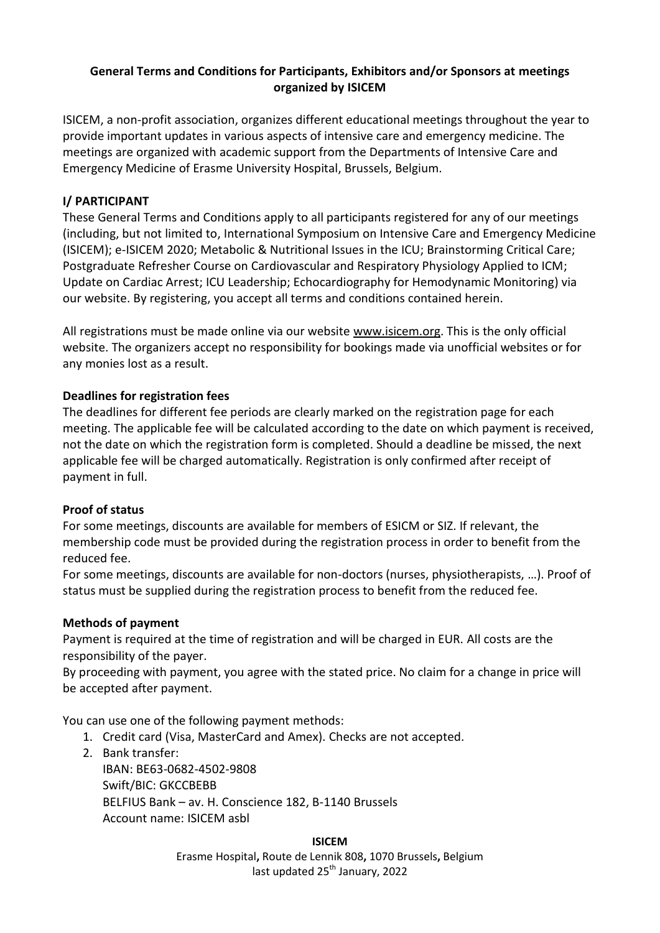## **General Terms and Conditions for Participants, Exhibitors and/or Sponsors at meetings organized by ISICEM**

ISICEM, a non-profit association, organizes different educational meetings throughout the year to provide important updates in various aspects of intensive care and emergency medicine. The meetings are organized with academic support from the Departments of Intensive Care and Emergency Medicine of Erasme University Hospital, Brussels, Belgium.

## **I/ PARTICIPANT**

These General Terms and Conditions apply to all participants registered for any of our meetings (including, but not limited to, International Symposium on Intensive Care and Emergency Medicine (ISICEM); e-ISICEM 2020[; Metabolic & Nutritional Issues in the ICU;](https://www.intensive.org/11/main.asp?L1=1&L2=1&L3=1&ety=11) [Brainstorming Critical Care;](https://www.intensive.org/14/main.asp?L1=1&L2=1&L3=1&ety=14) [Postgraduate Refresher Course on Cardiovascular and Respiratory Physiology Applied to ICM;](https://www.intensive.org/4/main.asp?L1=1&L2=1&L3=1&ety=4) [Update on Cardiac Arrest;](https://www.intensive.org/8/main.asp?L1=1&L2=1&L3=1&ety=8) [ICU Leadership;](https://www.intensive.org/12/main.asp?L1=1&L2=1&L3=1&ety=12) [Echocardiography for Hemodynamic Monitoring\)](https://www.intensive.org/7/main.asp?L1=1&L2=1&L3=1&ety=7) via our website. By registering, you accept all terms and conditions contained herein.

All registrations must be made online via our website [www.isicem.org.](http://www.isicem.org/) This is the only official website. The organizers accept no responsibility for bookings made via unofficial websites or for any monies lost as a result.

#### **Deadlines for registration fees**

The deadlines for different fee periods are clearly marked on the registration page for each meeting. The applicable fee will be calculated according to the date on which payment is received, not the date on which the registration form is completed. Should a deadline be missed, the next applicable fee will be charged automatically. Registration is only confirmed after receipt of payment in full.

#### **Proof of status**

For some meetings, discounts are available for members of ESICM or SIZ. If relevant, the membership code must be provided during the registration process in order to benefit from the reduced fee.

For some meetings, discounts are available for non-doctors (nurses, physiotherapists, …). Proof of status must be supplied during the registration process to benefit from the reduced fee.

#### **Methods of payment**

Payment is required at the time of registration and will be charged in EUR. All costs are the responsibility of the payer.

By proceeding with payment, you agree with the stated price. No claim for a change in price will be accepted after payment.

You can use one of the following payment methods:

- 1. Credit card (Visa, MasterCard and Amex). Checks are not accepted.
- 2. Bank transfer: IBAN: BE63-0682-4502-9808 Swift/BIC: GKCCBEBB BELFIUS Bank – av. H. Conscience 182, B-1140 Brussels Account name: ISICEM asbl

**ISICEM** Erasme Hospital**,** Route de Lennik 808**,** 1070 Brussels**,** Belgium last updated 25<sup>th</sup> January, 2022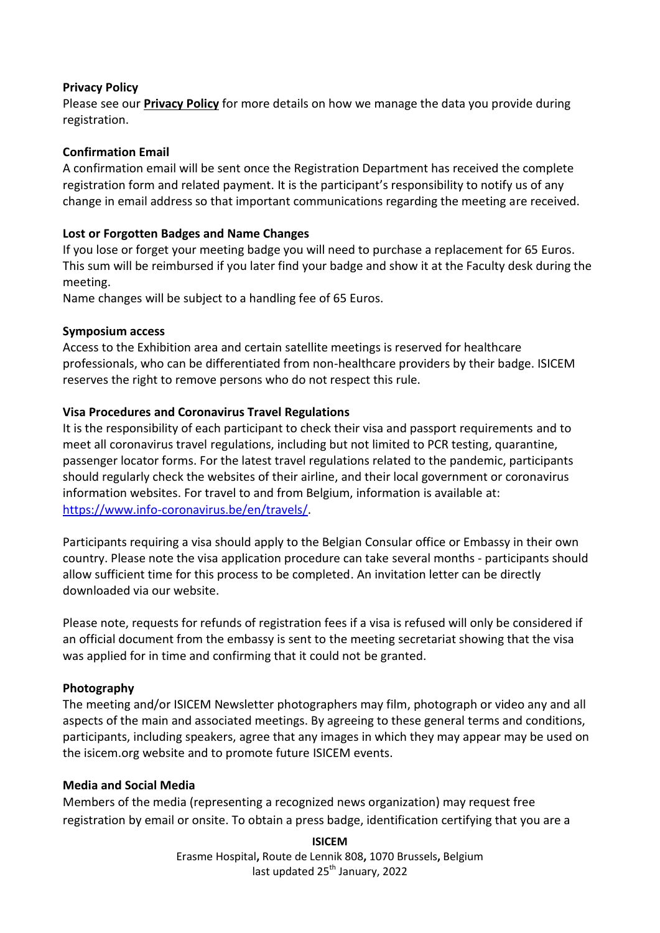#### **Privacy Policy**

Please see our **[Privacy Policy](http://www.intensive.org/Others/privacy%20policy.pdf)** for more details on how we manage the data you provide during registration.

## **Confirmation Email**

A confirmation email will be sent once the Registration Department has received the complete registration form and related payment. It is the participant's responsibility to notify us of any change in email address so that important communications regarding the meeting are received.

## **Lost or Forgotten Badges and Name Changes**

If you lose or forget your meeting badge you will need to purchase a replacement for 65 Euros. This sum will be reimbursed if you later find your badge and show it at the Faculty desk during the meeting.

Name changes will be subject to a handling fee of 65 Euros.

#### **Symposium access**

Access to the Exhibition area and certain satellite meetings is reserved for healthcare professionals, who can be differentiated from non-healthcare providers by their badge. ISICEM reserves the right to remove persons who do not respect this rule.

## **Visa Procedures and Coronavirus Travel Regulations**

It is the responsibility of each participant to check their visa and passport requirements and to meet all coronavirus travel regulations, including but not limited to PCR testing, quarantine, passenger locator forms. For the latest travel regulations related to the pandemic, participants should regularly check the websites of their airline, and their local government or coronavirus information websites. For travel to and from Belgium, information is available at: [https://www.info-coronavirus.be/en/travels/.](https://www.info-coronavirus.be/en/travels/)

Participants requiring a visa should apply to the Belgian Consular office or Embassy in their own country. Please note the visa application procedure can take several months - participants should allow sufficient time for this process to be completed. An invitation letter can be directly downloaded via our website.

Please note, requests for refunds of registration fees if a visa is refused will only be considered if an official document from the embassy is sent to the meeting secretariat showing that the visa was applied for in time and confirming that it could not be granted.

## **Photography**

The meeting and/or ISICEM Newsletter photographers may film, photograph or video any and all aspects of the main and associated meetings. By agreeing to these general terms and conditions, participants, including speakers, agree that any images in which they may appear may be used on the isicem.org website and to promote future ISICEM events.

#### **Media and Social Media**

Members of the media (representing a recognized news organization) may request free registration by email or onsite. To obtain a press badge, identification certifying that you are a

> **ISICEM** Erasme Hospital**,** Route de Lennik 808**,** 1070 Brussels**,** Belgium last updated 25<sup>th</sup> January, 2022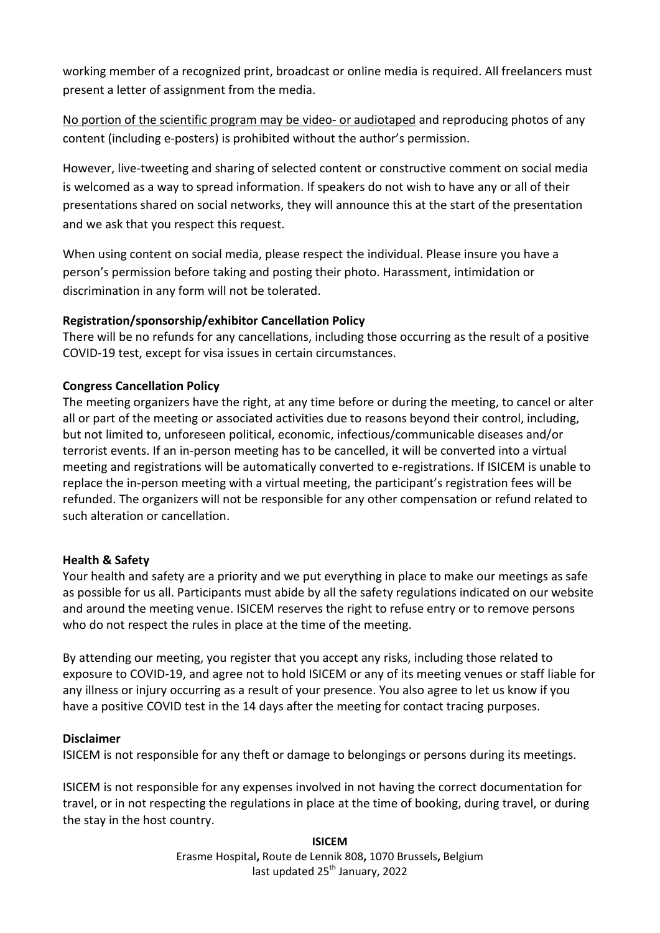working member of a recognized print, broadcast or online media is required. All freelancers must present a letter of assignment from the media.

No portion of the scientific program may be video- or audiotaped and reproducing photos of any content (including e-posters) is prohibited without the author's permission.

However, live-tweeting and sharing of selected content or constructive comment on social media is welcomed as a way to spread information. If speakers do not wish to have any or all of their presentations shared on social networks, they will announce this at the start of the presentation and we ask that you respect this request.

When using content on social media, please respect the individual. Please insure you have a person's permission before taking and posting their photo. Harassment, intimidation or discrimination in any form will not be tolerated.

# **Registration/sponsorship/exhibitor Cancellation Policy**

There will be no refunds for any cancellations, including those occurring as the result of a positive COVID-19 test, except for visa issues in certain circumstances.

# **Congress Cancellation Policy**

The meeting organizers have the right, at any time before or during the meeting, to cancel or alter all or part of the meeting or associated activities due to reasons beyond their control, including, but not limited to, unforeseen political, economic, infectious/communicable diseases and/or terrorist events. If an in-person meeting has to be cancelled, it will be converted into a virtual meeting and registrations will be automatically converted to e-registrations. If ISICEM is unable to replace the in-person meeting with a virtual meeting, the participant's registration fees will be refunded. The organizers will not be responsible for any other compensation or refund related to such alteration or cancellation.

## **Health & Safety**

Your health and safety are a priority and we put everything in place to make our meetings as safe as possible for us all. Participants must abide by all the safety regulations indicated on our website and around the meeting venue. ISICEM reserves the right to refuse entry or to remove persons who do not respect the rules in place at the time of the meeting.

By attending our meeting, you register that you accept any risks, including those related to exposure to COVID-19, and agree not to hold ISICEM or any of its meeting venues or staff liable for any illness or injury occurring as a result of your presence. You also agree to let us know if you have a positive COVID test in the 14 days after the meeting for contact tracing purposes.

## **Disclaimer**

ISICEM is not responsible for any theft or damage to belongings or persons during its meetings.

ISICEM is not responsible for any expenses involved in not having the correct documentation for travel, or in not respecting the regulations in place at the time of booking, during travel, or during the stay in the host country.

> **ISICEM** Erasme Hospital**,** Route de Lennik 808**,** 1070 Brussels**,** Belgium last updated 25<sup>th</sup> January, 2022